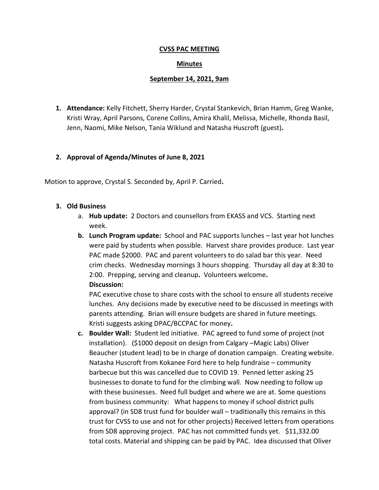## **CVSS PAC MEETING**

### **Minutes**

### **September 14, 2021, 9am**

**1. Attendance:** Kelly Fitchett, Sherry Harder, Crystal Stankevich, Brian Hamm, Greg Wanke, Kristi Wray, April Parsons, Corene Collins, Amira Khalil, Melissa, Michelle, Rhonda Basil, Jenn, Naomi, Mike Nelson, Tania Wiklund and Natasha Huscroft (guest)**.**

## **2. Approval of Agenda/Minutes of June 8, 2021**

Motion to approve, Crystal S. Seconded by, April P. Carried**.**

### **3. Old Business**

- a. **Hub update:** 2 Doctors and counsellors from EKASS and VCS. Starting next week.
- **b. Lunch Program update:** School and PAC supports lunches last year hot lunches were paid by students when possible. Harvest share provides produce. Last year PAC made \$2000. PAC and parent volunteers to do salad bar this year. Need crim checks. Wednesday mornings 3 hours shopping. Thursday all day at 8:30 to 2:00. Prepping, serving and cleanup**.** Volunteers welcome**. Discussion:**

PAC executive chose to share costs with the school to ensure all students receive lunches. Any decisions made by executive need to be discussed in meetings with parents attending. Brian will ensure budgets are shared in future meetings. Kristi suggests asking DPAC/BCCPAC for money**.**

**c. Boulder Wall:** Student led initiative. PAC agreed to fund some of project (not installation). (\$1000 deposit on design from Calgary –Magic Labs) Oliver Beaucher (student lead) to be in charge of donation campaign. Creating website. Natasha Huscroft from Kokanee Ford here to help fundraise – community barbecue but this was cancelled due to COVID 19. Penned letter asking 25 businesses to donate to fund for the climbing wall. Now needing to follow up with these businesses. Need full budget and where we are at. Some questions from business community: What happens to money if school district pulls approval? (in SD8 trust fund for boulder wall – traditionally this remains in this trust for CVSS to use and not for other projects) Received letters from operations from SD8 approving project. PAC has not committed funds yet. \$11,332.00 total costs. Material and shipping can be paid by PAC. Idea discussed that Oliver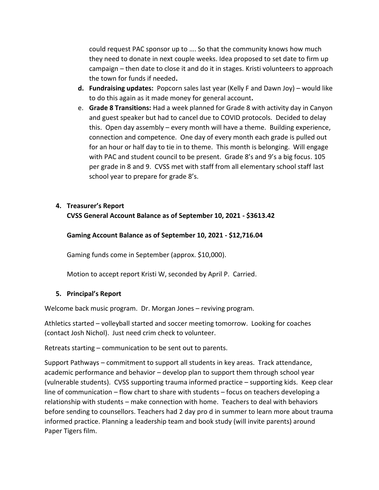could request PAC sponsor up to …. So that the community knows how much they need to donate in next couple weeks. Idea proposed to set date to firm up campaign – then date to close it and do it in stages. Kristi volunteers to approach the town for funds if needed**.** 

- **d. Fundraising updates:** Popcorn sales last year (Kelly F and Dawn Joy) would like to do this again as it made money for general account**.**
- e. **Grade 8 Transitions:** Had a week planned for Grade 8 with activity day in Canyon and guest speaker but had to cancel due to COVID protocols. Decided to delay this. Open day assembly – every month will have a theme. Building experience, connection and competence. One day of every month each grade is pulled out for an hour or half day to tie in to theme. This month is belonging. Will engage with PAC and student council to be present. Grade 8's and 9's a big focus. 105 per grade in 8 and 9. CVSS met with staff from all elementary school staff last school year to prepare for grade 8's.

# **4. Treasurer's Report CVSS General Account Balance as of September 10, 2021 - \$3613.42**

# **Gaming Account Balance as of September 10, 2021 - \$12,716.04**

Gaming funds come in September (approx. \$10,000).

Motion to accept report Kristi W, seconded by April P. Carried.

# **5. Principal's Report**

Welcome back music program. Dr. Morgan Jones – reviving program.

Athletics started – volleyball started and soccer meeting tomorrow. Looking for coaches (contact Josh Nichol). Just need crim check to volunteer.

Retreats starting – communication to be sent out to parents.

Support Pathways – commitment to support all students in key areas. Track attendance, academic performance and behavior – develop plan to support them through school year (vulnerable students). CVSS supporting trauma informed practice – supporting kids. Keep clear line of communication – flow chart to share with students – focus on teachers developing a relationship with students – make connection with home. Teachers to deal with behaviors before sending to counsellors. Teachers had 2 day pro d in summer to learn more about trauma informed practice. Planning a leadership team and book study (will invite parents) around Paper Tigers film.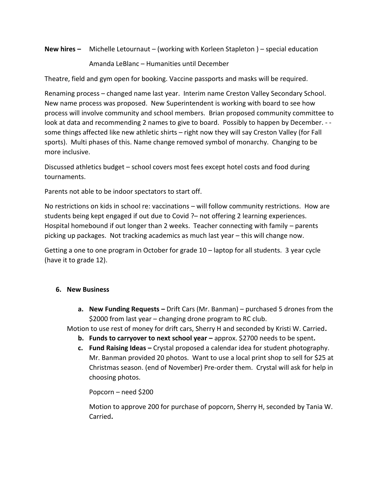**New hires –** Michelle Letournaut – (working with Korleen Stapleton ) – special education

Amanda LeBlanc – Humanities until December

Theatre, field and gym open for booking. Vaccine passports and masks will be required.

Renaming process – changed name last year. Interim name Creston Valley Secondary School. New name process was proposed. New Superintendent is working with board to see how process will involve community and school members. Brian proposed community committee to look at data and recommending 2 names to give to board. Possibly to happen by December. - some things affected like new athletic shirts – right now they will say Creston Valley (for Fall sports). Multi phases of this. Name change removed symbol of monarchy. Changing to be more inclusive.

Discussed athletics budget – school covers most fees except hotel costs and food during tournaments.

Parents not able to be indoor spectators to start off.

No restrictions on kids in school re: vaccinations – will follow community restrictions. How are students being kept engaged if out due to Covid ?– not offering 2 learning experiences. Hospital homebound if out longer than 2 weeks. Teacher connecting with family – parents picking up packages. Not tracking academics as much last year – this will change now.

Getting a one to one program in October for grade 10 – laptop for all students. 3 year cycle (have it to grade 12).

### **6. New Business**

**a. New Funding Requests –** Drift Cars (Mr. Banman) – purchased 5 drones from the \$2000 from last year – changing drone program to RC club.

Motion to use rest of money for drift cars, Sherry H and seconded by Kristi W. Carried**.** 

- **b. Funds to carryover to next school year –** approx. \$2700 needs to be spent**.**
- **c. Fund Raising Ideas –** Crystal proposed a calendar idea for student photography. Mr. Banman provided 20 photos. Want to use a local print shop to sell for \$25 at Christmas season. (end of November) Pre-order them. Crystal will ask for help in choosing photos.

Popcorn – need \$200

Motion to approve 200 for purchase of popcorn, Sherry H, seconded by Tania W. Carried**.**